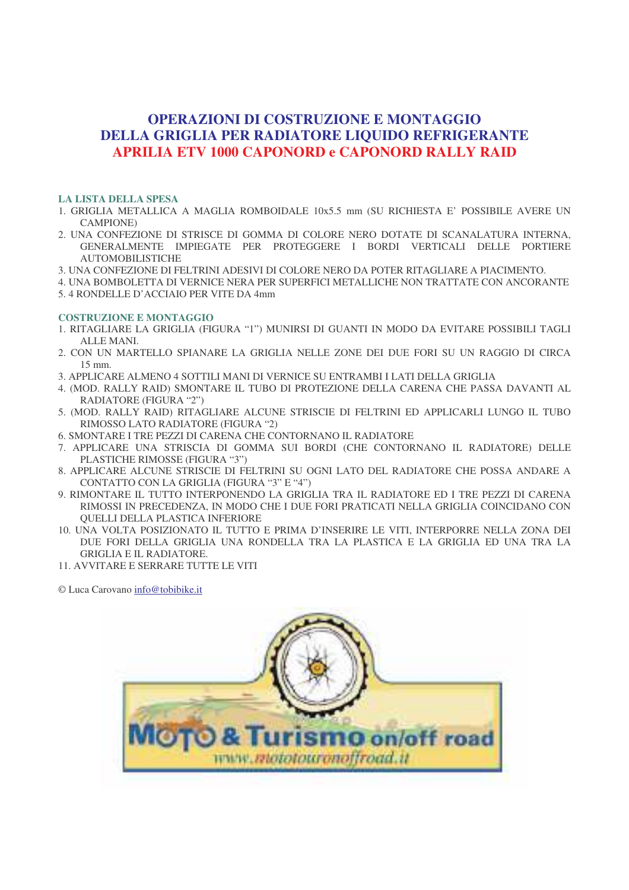## **OPERAZIONI DI COSTRUZIONE E MONTAGGIO DELLA GRIGLIA PER RADIATORE LIQUIDO REFRIGERANTE APRILIA ETV 1000 CAPONORD e CAPONORD RALLY RAID**

## **LA LISTA DELLA SPESA**

- 1. GRIGLIA METALLICA A MAGLIA ROMBOIDALE 10x5.5 mm (SU RICHIESTA E' POSSIBILE AVERE UN CAMPIONE)
- 2. UNA CONFEZIONE DI STRISCE DI GOMMA DI COLORE NERO DOTATE DI SCANALATURA INTERNA, GENERALMENTE IMPIEGATE PER PROTEGGERE I BORDI VERTICALI DELLE PORTIERE AUTOMOBILISTICHE
- 3. UNA CONFEZIONE DI FELTRINI ADESIVI DI COLORE NERO DA POTER RITAGLIARE A PIACIMENTO.
- 4. UNA BOMBOLETTA DI VERNICE NERA PER SUPERFICI METALLICHE NON TRATTATE CON ANCORANTE 5. 4 RONDELLE D'ACCIAIO PER VITE DA 4mm

## **COSTRUZIONE E MONTAGGIO**

- 1. RITAGLIARE LA GRIGLIA (FIGURA "1") MUNIRSI DI GUANTI IN MODO DA EVITARE POSSIBILI TAGLI ALLE MANI.
- 2. CON UN MARTELLO SPIANARE LA GRIGLIA NELLE ZONE DEI DUE FORI SU UN RAGGIO DI CIRCA 15 mm.
- 3. APPLICARE ALMENO 4 SOTTILI MANI DI VERNICE SU ENTRAMBI I LATI DELLA GRIGLIA
- 4. (MOD. RALLY RAID) SMONTARE IL TUBO DI PROTEZIONE DELLA CARENA CHE PASSA DAVANTI AL RADIATORE (FIGURA "2")
- 5. (MOD. RALLY RAID) RITAGLIARE ALCUNE STRISCIE DI FELTRINI ED APPLICARLI LUNGO IL TUBO RIMOSSO LATO RADIATORE (FIGURA "2)
- 6. SMONTARE I TRE PEZZI DI CARENA CHE CONTORNANO IL RADIATORE
- 7. APPLICARE UNA STRISCIA DI GOMMA SUI BORDI (CHE CONTORNANO IL RADIATORE) DELLE PLASTICHE RIMOSSE (FIGURA "3")
- 8. APPLICARE ALCUNE STRISCIE DI FELTRINI SU OGNI LATO DEL RADIATORE CHE POSSA ANDARE A CONTATTO CON LA GRIGLIA (FIGURA "3" E "4")
- 9. RIMONTARE IL TUTTO INTERPONENDO LA GRIGLIA TRA IL RADIATORE ED I TRE PEZZI DI CARENA RIMOSSI IN PRECEDENZA, IN MODO CHE I DUE FORI PRATICATI NELLA GRIGLIA COINCIDANO CON QUELLI DELLA PLASTICA INFERIORE
- 10. UNA VOLTA POSIZIONATO IL TUTTO E PRIMA D'INSERIRE LE VITI, INTERPORRE NELLA ZONA DEI DUE FORI DELLA GRIGLIA UNA RONDELLA TRA LA PLASTICA E LA GRIGLIA ED UNA TRA LA GRIGLIA E IL RADIATORE.
- 11. AVVITARE E SERRARE TUTTE LE VITI

© Luca Carovano info@tobibike.it

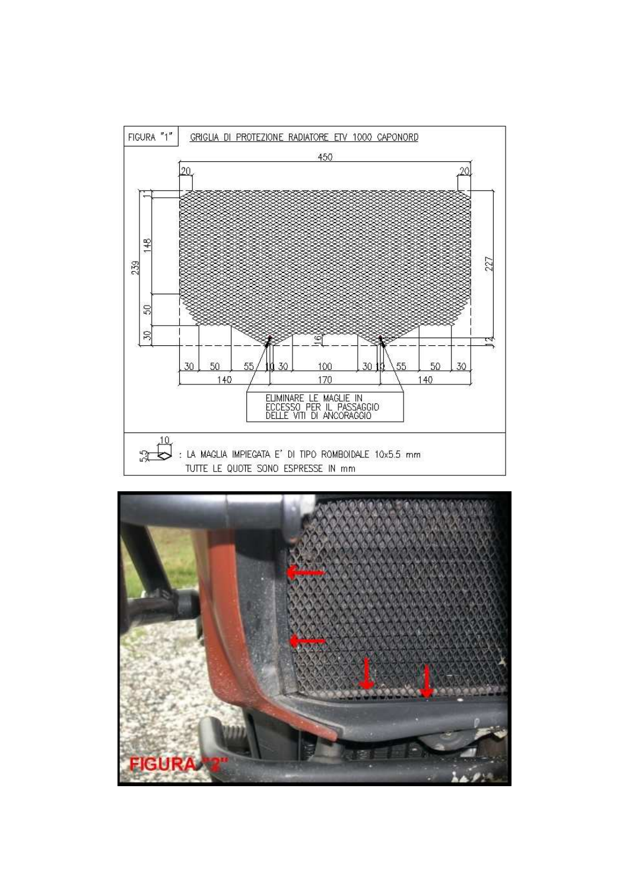